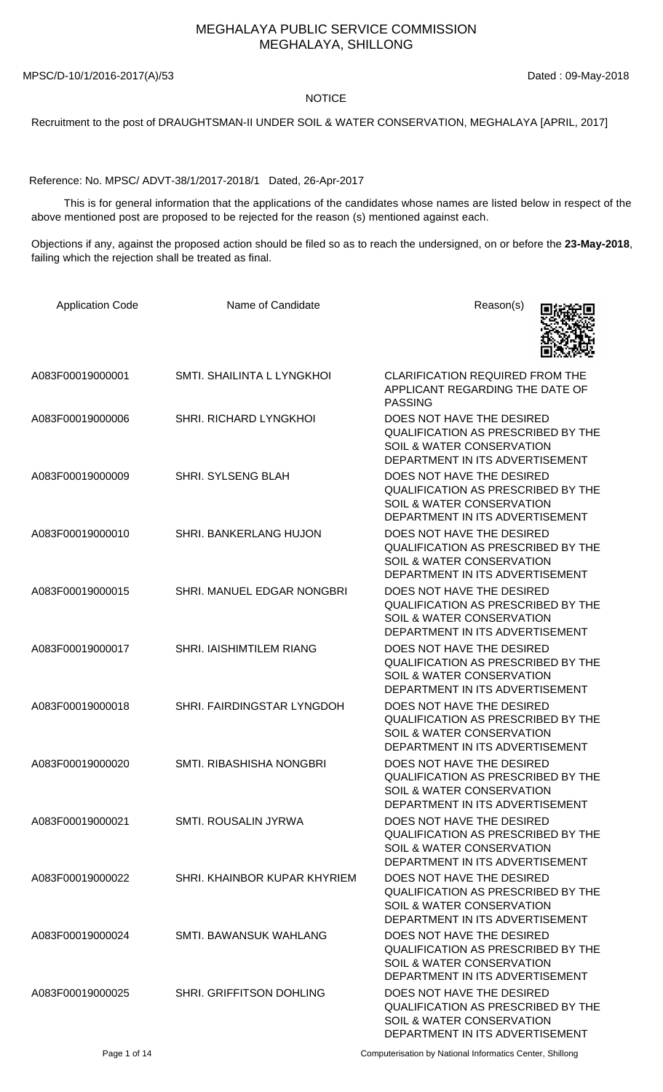## MEGHALAYA PUBLIC SERVICE COMMISSION MEGHALAYA, SHILLONG

MPSC/D-10/1/2016-2017(A)/53 Dated : 09-May-2018

## NOTICE

Recruitment to the post of DRAUGHTSMAN-II UNDER SOIL & WATER CONSERVATION, MEGHALAYA [APRIL, 2017]

Reference: No. MPSC/ ADVT-38/1/2017-2018/1 Dated, 26-Apr-2017

 This is for general information that the applications of the candidates whose names are listed below in respect of the above mentioned post are proposed to be rejected for the reason (s) mentioned against each.

Objections if any, against the proposed action should be filed so as to reach the undersigned, on or before the **23-May-2018**, failing which the rejection shall be treated as final.

| <b>Application Code</b> | Name of Candidate             | Reason(s)                                                                                                                                         |
|-------------------------|-------------------------------|---------------------------------------------------------------------------------------------------------------------------------------------------|
| A083F00019000001        | SMTI. SHAILINTA L LYNGKHOI    | CLARIFICATION REQUIRED FROM THE<br>APPLICANT REGARDING THE DATE OF<br><b>PASSING</b>                                                              |
| A083F00019000006        | <b>SHRI. RICHARD LYNGKHOL</b> | DOES NOT HAVE THE DESIRED<br>QUALIFICATION AS PRESCRIBED BY THE<br>SOIL & WATER CONSERVATION<br>DEPARTMENT IN ITS ADVERTISEMENT                   |
| A083F00019000009        | <b>SHRI. SYLSENG BLAH</b>     | DOES NOT HAVE THE DESIRED<br><b>QUALIFICATION AS PRESCRIBED BY THE</b><br>SOIL & WATER CONSERVATION<br>DEPARTMENT IN ITS ADVERTISEMENT            |
| A083F00019000010        | SHRI. BANKERLANG HUJON        | DOES NOT HAVE THE DESIRED<br><b>QUALIFICATION AS PRESCRIBED BY THE</b><br>SOIL & WATER CONSERVATION<br>DEPARTMENT IN ITS ADVERTISEMENT            |
| A083F00019000015        | SHRI. MANUEL EDGAR NONGBRI    | DOES NOT HAVE THE DESIRED<br>QUALIFICATION AS PRESCRIBED BY THE<br>SOIL & WATER CONSERVATION<br>DEPARTMENT IN ITS ADVERTISEMENT                   |
| A083F00019000017        | SHRI. IAISHIMTILEM RIANG      | DOES NOT HAVE THE DESIRED<br><b>QUALIFICATION AS PRESCRIBED BY THE</b><br><b>SOIL &amp; WATER CONSERVATION</b><br>DEPARTMENT IN ITS ADVERTISEMENT |
| A083F00019000018        | SHRI. FAIRDINGSTAR LYNGDOH    | DOES NOT HAVE THE DESIRED<br><b>QUALIFICATION AS PRESCRIBED BY THE</b><br>SOIL & WATER CONSERVATION<br>DEPARTMENT IN ITS ADVERTISEMENT            |
| A083F00019000020        | SMTI. RIBASHISHA NONGBRI      | DOES NOT HAVE THE DESIRED<br><b>QUALIFICATION AS PRESCRIBED BY THE</b><br>SOIL & WATER CONSERVATION<br>DEPARTMENT IN ITS ADVERTISEMENT            |
| A083F00019000021        | SMTI. ROUSALIN JYRWA          | DOES NOT HAVE THE DESIRED<br><b>QUALIFICATION AS PRESCRIBED BY THE</b><br>SOIL & WATER CONSERVATION<br>DEPARTMENT IN ITS ADVERTISEMENT            |
| A083F00019000022        | SHRI, KHAINBOR KUPAR KHYRIEM  | DOES NOT HAVE THE DESIRED<br><b>QUALIFICATION AS PRESCRIBED BY THE</b><br><b>SOIL &amp; WATER CONSERVATION</b><br>DEPARTMENT IN ITS ADVERTISEMENT |
| A083F00019000024        | SMTI. BAWANSUK WAHLANG        | DOES NOT HAVE THE DESIRED<br><b>QUALIFICATION AS PRESCRIBED BY THE</b><br><b>SOIL &amp; WATER CONSERVATION</b><br>DEPARTMENT IN ITS ADVERTISEMENT |
| A083F00019000025        | SHRI. GRIFFITSON DOHLING      | DOES NOT HAVE THE DESIRED<br><b>QUALIFICATION AS PRESCRIBED BY THE</b><br>SOIL & WATER CONSERVATION<br>DEPARTMENT IN ITS ADVERTISEMENT            |

Page 1 of 14 Computerisation by National Informatics Center, Shillong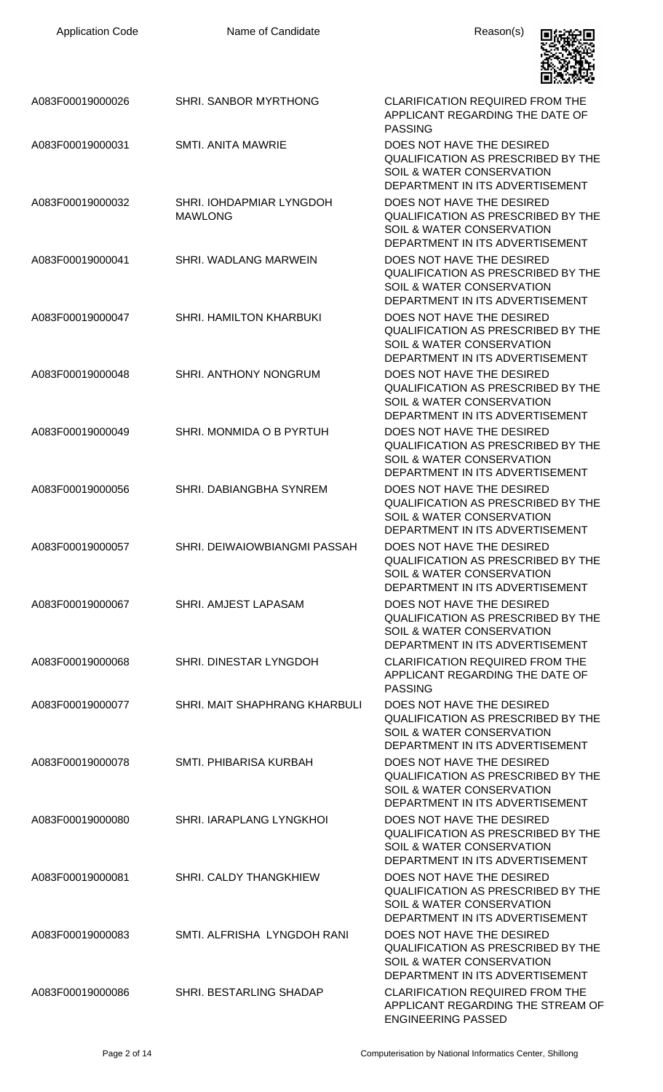| <b>Application Code</b> | Name of Candidate                          | Reason(s)                                                                                                                                         |
|-------------------------|--------------------------------------------|---------------------------------------------------------------------------------------------------------------------------------------------------|
| A083F00019000026        | <b>SHRI. SANBOR MYRTHONG</b>               | CLARIFICATION REQUIRED FROM THE<br>APPLICANT REGARDING THE DATE OF<br><b>PASSING</b>                                                              |
| A083F00019000031        | <b>SMTI. ANITA MAWRIE</b>                  | DOES NOT HAVE THE DESIRED<br><b>QUALIFICATION AS PRESCRIBED BY THE</b><br>SOIL & WATER CONSERVATION<br>DEPARTMENT IN ITS ADVERTISEMENT            |
| A083F00019000032        | SHRI. IOHDAPMIAR LYNGDOH<br><b>MAWLONG</b> | DOES NOT HAVE THE DESIRED<br><b>QUALIFICATION AS PRESCRIBED BY THE</b><br>SOIL & WATER CONSERVATION<br>DEPARTMENT IN ITS ADVERTISEMENT            |
| A083F00019000041        | SHRI. WADLANG MARWEIN                      | DOES NOT HAVE THE DESIRED<br><b>QUALIFICATION AS PRESCRIBED BY THE</b><br>SOIL & WATER CONSERVATION<br>DEPARTMENT IN ITS ADVERTISEMENT            |
| A083F00019000047        | SHRI. HAMILTON KHARBUKI                    | DOES NOT HAVE THE DESIRED<br><b>QUALIFICATION AS PRESCRIBED BY THE</b><br>SOIL & WATER CONSERVATION<br>DEPARTMENT IN ITS ADVERTISEMENT            |
| A083F00019000048        | SHRI. ANTHONY NONGRUM                      | DOES NOT HAVE THE DESIRED<br>QUALIFICATION AS PRESCRIBED BY THE<br>SOIL & WATER CONSERVATION<br>DEPARTMENT IN ITS ADVERTISEMENT                   |
| A083F00019000049        | SHRI. MONMIDA O B PYRTUH                   | DOES NOT HAVE THE DESIRED<br><b>QUALIFICATION AS PRESCRIBED BY THE</b><br>SOIL & WATER CONSERVATION<br>DEPARTMENT IN ITS ADVERTISEMENT            |
| A083F00019000056        | SHRI. DABIANGBHA SYNREM                    | DOES NOT HAVE THE DESIRED<br><b>QUALIFICATION AS PRESCRIBED BY THE</b><br><b>SOIL &amp; WATER CONSERVATION</b><br>DEPARTMENT IN ITS ADVERTISEMENT |
| A083F00019000057        | SHRI. DEIWAIOWBIANGMI PASSAH               | DOES NOT HAVE THE DESIRED<br><b>QUALIFICATION AS PRESCRIBED BY THE</b><br><b>SOIL &amp; WATER CONSERVATION</b><br>DEPARTMENT IN ITS ADVERTISEMENT |
| A083F00019000067        | SHRI. AMJEST LAPASAM                       | DOES NOT HAVE THE DESIRED<br><b>QUALIFICATION AS PRESCRIBED BY THE</b><br>SOIL & WATER CONSERVATION<br>DEPARTMENT IN ITS ADVERTISEMENT            |
| A083F00019000068        | SHRI. DINESTAR LYNGDOH                     | <b>CLARIFICATION REQUIRED FROM THE</b><br>APPLICANT REGARDING THE DATE OF<br><b>PASSING</b>                                                       |
| A083F00019000077        | SHRI. MAIT SHAPHRANG KHARBULI              | DOES NOT HAVE THE DESIRED<br><b>QUALIFICATION AS PRESCRIBED BY THE</b><br>SOIL & WATER CONSERVATION<br>DEPARTMENT IN ITS ADVERTISEMENT            |
| A083F00019000078        | SMTI. PHIBARISA KURBAH                     | DOES NOT HAVE THE DESIRED<br><b>QUALIFICATION AS PRESCRIBED BY THE</b><br>SOIL & WATER CONSERVATION<br>DEPARTMENT IN ITS ADVERTISEMENT            |
| A083F00019000080        | SHRI. IARAPLANG LYNGKHOI                   | DOES NOT HAVE THE DESIRED<br><b>QUALIFICATION AS PRESCRIBED BY THE</b><br>SOIL & WATER CONSERVATION<br>DEPARTMENT IN ITS ADVERTISEMENT            |
| A083F00019000081        | <b>SHRI. CALDY THANGKHIEW</b>              | DOES NOT HAVE THE DESIRED<br><b>QUALIFICATION AS PRESCRIBED BY THE</b><br>SOIL & WATER CONSERVATION<br>DEPARTMENT IN ITS ADVERTISEMENT            |
| A083F00019000083        | SMTI, ALFRISHA LYNGDOH RANI                | DOES NOT HAVE THE DESIRED<br><b>QUALIFICATION AS PRESCRIBED BY THE</b><br>SOIL & WATER CONSERVATION<br>DEPARTMENT IN ITS ADVERTISEMENT            |
| A083F00019000086        | SHRI. BESTARLING SHADAP                    | <b>CLARIFICATION REQUIRED FROM THE</b><br>APPLICANT REGARDING THE STREAM OF<br><b>ENGINEERING PASSED</b>                                          |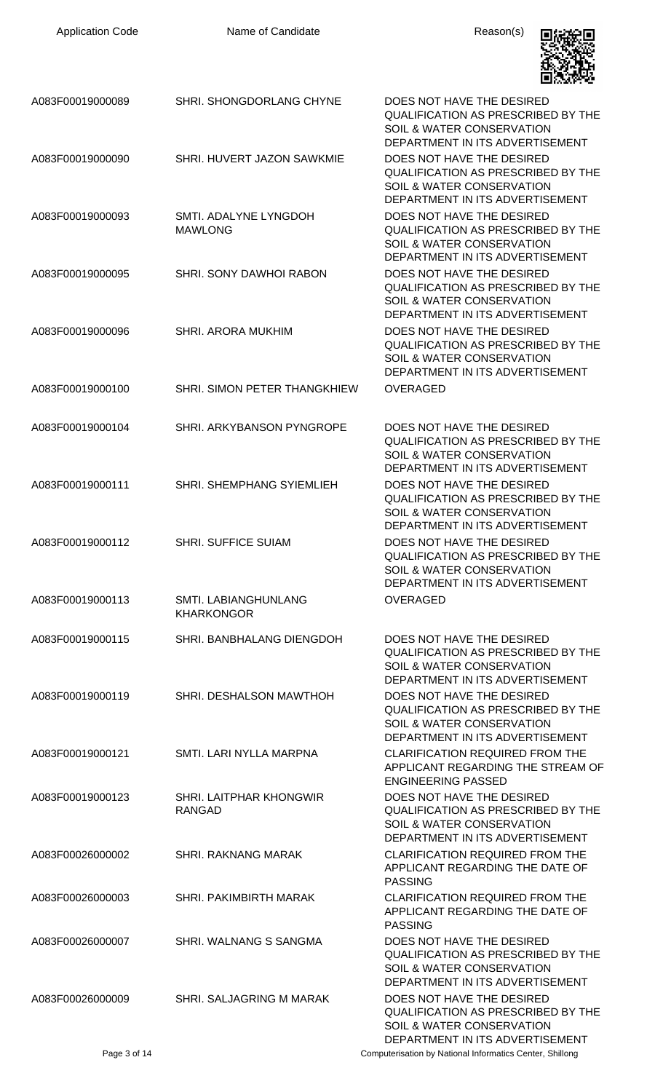| <b>Application Code</b> | Name of Candidate                                | Reason(s)                                                                                                                                         |
|-------------------------|--------------------------------------------------|---------------------------------------------------------------------------------------------------------------------------------------------------|
| A083F00019000089        | SHRI. SHONGDORLANG CHYNE                         | DOES NOT HAVE THE DESIRED<br>QUALIFICATION AS PRESCRIBED BY THE<br>SOIL & WATER CONSERVATION<br>DEPARTMENT IN ITS ADVERTISEMENT                   |
| A083F00019000090        | SHRI. HUVERT JAZON SAWKMIE                       | DOES NOT HAVE THE DESIRED<br><b>QUALIFICATION AS PRESCRIBED BY THE</b><br>SOIL & WATER CONSERVATION<br>DEPARTMENT IN ITS ADVERTISEMENT            |
| A083F00019000093        | SMTI. ADALYNE LYNGDOH<br><b>MAWLONG</b>          | DOES NOT HAVE THE DESIRED<br>QUALIFICATION AS PRESCRIBED BY THE<br>SOIL & WATER CONSERVATION<br>DEPARTMENT IN ITS ADVERTISEMENT                   |
| A083F00019000095        | SHRI. SONY DAWHOI RABON                          | DOES NOT HAVE THE DESIRED<br><b>QUALIFICATION AS PRESCRIBED BY THE</b><br>SOIL & WATER CONSERVATION<br>DEPARTMENT IN ITS ADVERTISEMENT            |
| A083F00019000096        | SHRI. ARORA MUKHIM                               | DOES NOT HAVE THE DESIRED<br><b>QUALIFICATION AS PRESCRIBED BY THE</b><br>SOIL & WATER CONSERVATION<br>DEPARTMENT IN ITS ADVERTISEMENT            |
| A083F00019000100        | SHRI. SIMON PETER THANGKHIEW                     | <b>OVERAGED</b>                                                                                                                                   |
| A083F00019000104        | SHRI. ARKYBANSON PYNGROPE                        | DOES NOT HAVE THE DESIRED<br><b>QUALIFICATION AS PRESCRIBED BY THE</b><br><b>SOIL &amp; WATER CONSERVATION</b><br>DEPARTMENT IN ITS ADVERTISEMENT |
| A083F00019000111        | SHRI. SHEMPHANG SYIEMLIEH                        | DOES NOT HAVE THE DESIRED<br><b>QUALIFICATION AS PRESCRIBED BY THE</b><br>SOIL & WATER CONSERVATION<br>DEPARTMENT IN ITS ADVERTISEMENT            |
| A083F00019000112        | <b>SHRI. SUFFICE SUIAM</b>                       | DOES NOT HAVE THE DESIRED<br><b>QUALIFICATION AS PRESCRIBED BY THE</b><br>SOIL & WATER CONSERVATION<br>DEPARTMENT IN ITS ADVERTISEMENT            |
| A083F00019000113        | <b>SMTI. LABIANGHUNLANG</b><br><b>KHARKONGOR</b> | <b>OVERAGED</b>                                                                                                                                   |
| A083F00019000115        | SHRI. BANBHALANG DIENGDOH                        | DOES NOT HAVE THE DESIRED<br>QUALIFICATION AS PRESCRIBED BY THE<br>SOIL & WATER CONSERVATION<br>DEPARTMENT IN ITS ADVERTISEMENT                   |
| A083F00019000119        | SHRI. DESHALSON MAWTHOH                          | DOES NOT HAVE THE DESIRED<br>QUALIFICATION AS PRESCRIBED BY THE<br>SOIL & WATER CONSERVATION<br>DEPARTMENT IN ITS ADVERTISEMENT                   |
| A083F00019000121        | SMTI. LARI NYLLA MARPNA                          | <b>CLARIFICATION REQUIRED FROM THE</b><br>APPLICANT REGARDING THE STREAM OF<br><b>ENGINEERING PASSED</b>                                          |
| A083F00019000123        | SHRI. LAITPHAR KHONGWIR<br><b>RANGAD</b>         | DOES NOT HAVE THE DESIRED<br>QUALIFICATION AS PRESCRIBED BY THE<br>SOIL & WATER CONSERVATION<br>DEPARTMENT IN ITS ADVERTISEMENT                   |
| A083F00026000002        | <b>SHRI. RAKNANG MARAK</b>                       | <b>CLARIFICATION REQUIRED FROM THE</b><br>APPLICANT REGARDING THE DATE OF<br><b>PASSING</b>                                                       |
| A083F00026000003        | SHRI. PAKIMBIRTH MARAK                           | <b>CLARIFICATION REQUIRED FROM THE</b><br>APPLICANT REGARDING THE DATE OF<br><b>PASSING</b>                                                       |
| A083F00026000007        | SHRI. WALNANG S SANGMA                           | DOES NOT HAVE THE DESIRED<br>QUALIFICATION AS PRESCRIBED BY THE<br>SOIL & WATER CONSERVATION<br>DEPARTMENT IN ITS ADVERTISEMENT                   |
| A083F00026000009        | SHRI. SALJAGRING M MARAK                         | DOES NOT HAVE THE DESIRED<br><b>QUALIFICATION AS PRESCRIBED BY THE</b><br>SOIL & WATER CONSERVATION<br>DEPARTMENT IN ITS ADVERTISEMENT            |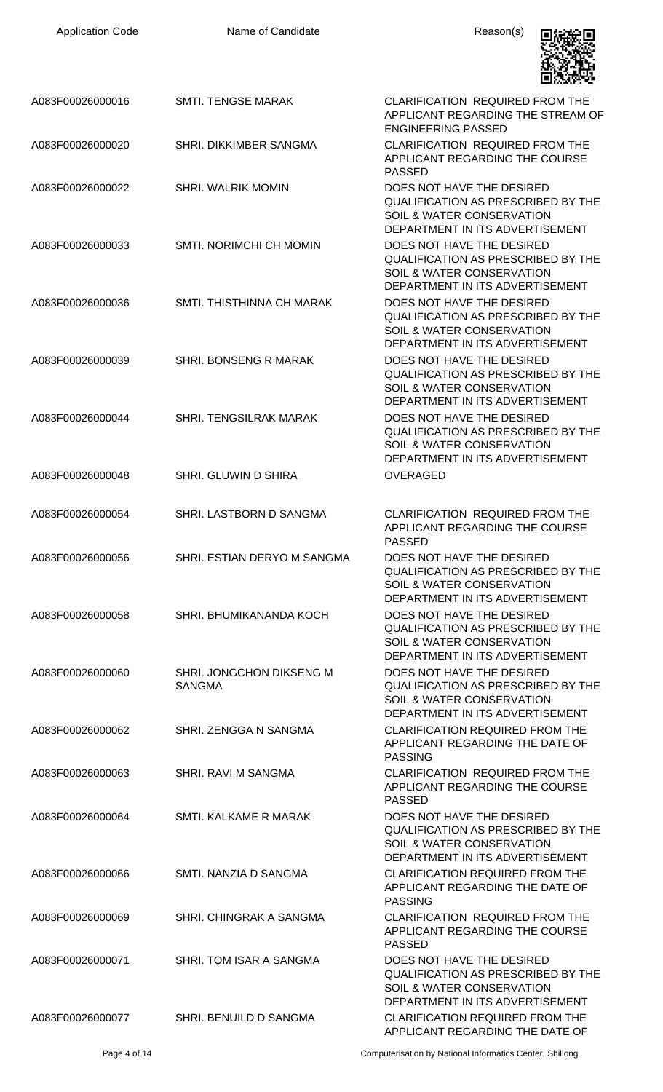| <b>Application Code</b> | Name of Candidate                         | Reason(s)                                                                                                                                         |
|-------------------------|-------------------------------------------|---------------------------------------------------------------------------------------------------------------------------------------------------|
| A083F00026000016        | <b>SMTI. TENGSE MARAK</b>                 | <b>CLARIFICATION REQUIRED FROM THE</b><br>APPLICANT REGARDING THE STREAM OF<br><b>ENGINEERING PASSED</b>                                          |
| A083F00026000020        | SHRI. DIKKIMBER SANGMA                    | <b>CLARIFICATION REQUIRED FROM THE</b><br>APPLICANT REGARDING THE COURSE<br><b>PASSED</b>                                                         |
| A083F00026000022        | <b>SHRI. WALRIK MOMIN</b>                 | DOES NOT HAVE THE DESIRED<br><b>QUALIFICATION AS PRESCRIBED BY THE</b><br>SOIL & WATER CONSERVATION<br>DEPARTMENT IN ITS ADVERTISEMENT            |
| A083F00026000033        | <b>SMTI. NORIMCHI CH MOMIN</b>            | DOES NOT HAVE THE DESIRED<br><b>QUALIFICATION AS PRESCRIBED BY THE</b><br>SOIL & WATER CONSERVATION<br>DEPARTMENT IN ITS ADVERTISEMENT            |
| A083F00026000036        | SMTI. THISTHINNA CH MARAK                 | DOES NOT HAVE THE DESIRED<br><b>QUALIFICATION AS PRESCRIBED BY THE</b><br>SOIL & WATER CONSERVATION<br>DEPARTMENT IN ITS ADVERTISEMENT            |
| A083F00026000039        | SHRI. BONSENG R MARAK                     | DOES NOT HAVE THE DESIRED<br><b>QUALIFICATION AS PRESCRIBED BY THE</b><br><b>SOIL &amp; WATER CONSERVATION</b><br>DEPARTMENT IN ITS ADVERTISEMENT |
| A083F00026000044        | <b>SHRI. TENGSILRAK MARAK</b>             | DOES NOT HAVE THE DESIRED<br><b>QUALIFICATION AS PRESCRIBED BY THE</b><br>SOIL & WATER CONSERVATION<br>DEPARTMENT IN ITS ADVERTISEMENT            |
| A083F00026000048        | <b>SHRI. GLUWIN D SHIRA</b>               | <b>OVERAGED</b>                                                                                                                                   |
| A083F00026000054        | SHRI. LASTBORN D SANGMA                   | <b>CLARIFICATION REQUIRED FROM THE</b><br>APPLICANT REGARDING THE COURSE<br><b>PASSED</b>                                                         |
| A083F00026000056        | SHRI. ESTIAN DERYO M SANGMA               | DOES NOT HAVE THE DESIRED<br><b>QUALIFICATION AS PRESCRIBED BY THE</b><br><b>SOIL &amp; WATER CONSERVATION</b><br>DEPARTMENT IN ITS ADVERTISEMENT |
| A083F00026000058        | SHRI. BHUMIKANANDA KOCH                   | DOES NOT HAVE THE DESIRED<br><b>QUALIFICATION AS PRESCRIBED BY THE</b><br>SOIL & WATER CONSERVATION<br>DEPARTMENT IN ITS ADVERTISEMENT            |
| A083F00026000060        | SHRI. JONGCHON DIKSENG M<br><b>SANGMA</b> | DOES NOT HAVE THE DESIRED<br><b>QUALIFICATION AS PRESCRIBED BY THE</b><br>SOIL & WATER CONSERVATION<br>DEPARTMENT IN ITS ADVERTISEMENT            |
| A083F00026000062        | SHRI. ZENGGA N SANGMA                     | <b>CLARIFICATION REQUIRED FROM THE</b><br>APPLICANT REGARDING THE DATE OF<br><b>PASSING</b>                                                       |
| A083F00026000063        | SHRI. RAVI M SANGMA                       | <b>CLARIFICATION REQUIRED FROM THE</b><br>APPLICANT REGARDING THE COURSE<br><b>PASSED</b>                                                         |
| A083F00026000064        | SMTI. KALKAME R MARAK                     | DOES NOT HAVE THE DESIRED<br><b>QUALIFICATION AS PRESCRIBED BY THE</b><br>SOIL & WATER CONSERVATION<br>DEPARTMENT IN ITS ADVERTISEMENT            |
| A083F00026000066        | SMTI. NANZIA D SANGMA                     | <b>CLARIFICATION REQUIRED FROM THE</b><br>APPLICANT REGARDING THE DATE OF<br><b>PASSING</b>                                                       |
| A083F00026000069        | SHRI. CHINGRAK A SANGMA                   | <b>CLARIFICATION REQUIRED FROM THE</b><br>APPLICANT REGARDING THE COURSE<br><b>PASSED</b>                                                         |
| A083F00026000071        | SHRI. TOM ISAR A SANGMA                   | DOES NOT HAVE THE DESIRED<br>QUALIFICATION AS PRESCRIBED BY THE<br>SOIL & WATER CONSERVATION<br>DEPARTMENT IN ITS ADVERTISEMENT                   |
| A083F00026000077        | SHRI. BENUILD D SANGMA                    | <b>CLARIFICATION REQUIRED FROM THE</b><br>APPLICANT REGARDING THE DATE OF                                                                         |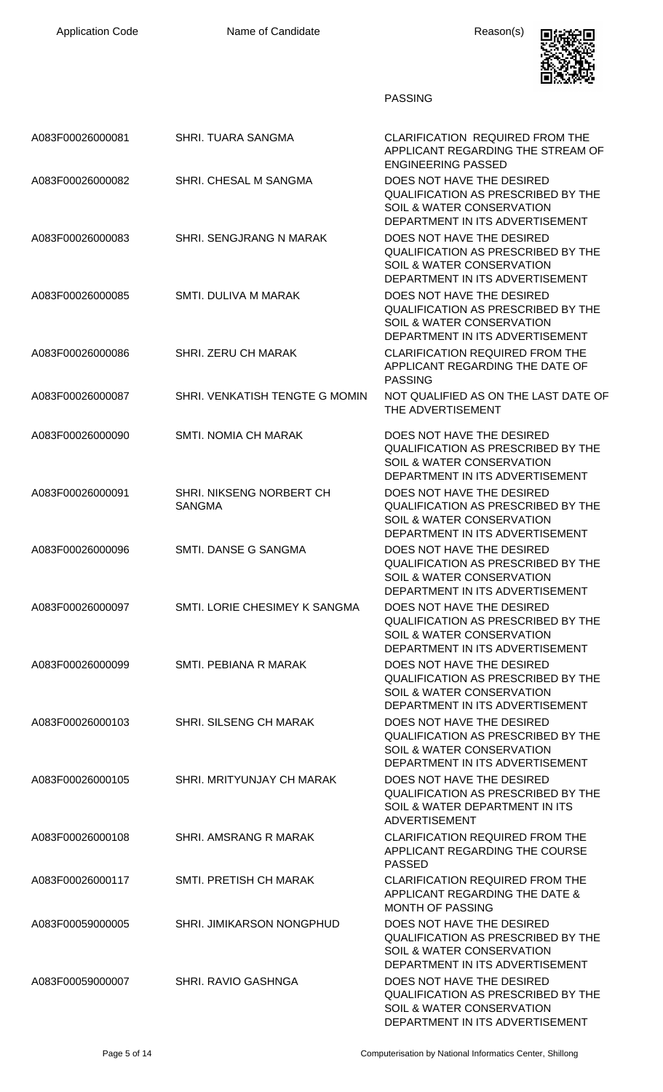

PASSING

| A083F00026000081 | SHRI. TUARA SANGMA                        | <b>CLARIFICATION REQUIRED FROM THE</b><br>APPLICANT REGARDING THE STREAM OF<br><b>ENGINEERING PASSED</b>                                          |
|------------------|-------------------------------------------|---------------------------------------------------------------------------------------------------------------------------------------------------|
| A083F00026000082 | SHRI. CHESAL M SANGMA                     | DOES NOT HAVE THE DESIRED<br><b>QUALIFICATION AS PRESCRIBED BY THE</b><br>SOIL & WATER CONSERVATION<br>DEPARTMENT IN ITS ADVERTISEMENT            |
| A083F00026000083 | SHRI. SENGJRANG N MARAK                   | DOES NOT HAVE THE DESIRED<br><b>QUALIFICATION AS PRESCRIBED BY THE</b><br>SOIL & WATER CONSERVATION<br>DEPARTMENT IN ITS ADVERTISEMENT            |
| A083F00026000085 | SMTI. DULIVA M MARAK                      | DOES NOT HAVE THE DESIRED<br><b>QUALIFICATION AS PRESCRIBED BY THE</b><br>SOIL & WATER CONSERVATION<br>DEPARTMENT IN ITS ADVERTISEMENT            |
| A083F00026000086 | <b>SHRI. ZERU CH MARAK</b>                | <b>CLARIFICATION REQUIRED FROM THE</b><br>APPLICANT REGARDING THE DATE OF<br><b>PASSING</b>                                                       |
| A083F00026000087 | SHRI. VENKATISH TENGTE G MOMIN            | NOT QUALIFIED AS ON THE LAST DATE OF<br>THE ADVERTISEMENT                                                                                         |
| A083F00026000090 | <b>SMTI. NOMIA CH MARAK</b>               | DOES NOT HAVE THE DESIRED<br><b>QUALIFICATION AS PRESCRIBED BY THE</b><br>SOIL & WATER CONSERVATION<br>DEPARTMENT IN ITS ADVERTISEMENT            |
| A083F00026000091 | SHRI. NIKSENG NORBERT CH<br><b>SANGMA</b> | DOES NOT HAVE THE DESIRED<br><b>QUALIFICATION AS PRESCRIBED BY THE</b><br>SOIL & WATER CONSERVATION<br>DEPARTMENT IN ITS ADVERTISEMENT            |
| A083F00026000096 | SMTI. DANSE G SANGMA                      | DOES NOT HAVE THE DESIRED<br><b>QUALIFICATION AS PRESCRIBED BY THE</b><br>SOIL & WATER CONSERVATION<br>DEPARTMENT IN ITS ADVERTISEMENT            |
| A083F00026000097 | SMTI. LORIE CHESIMEY K SANGMA             | DOES NOT HAVE THE DESIRED<br><b>QUALIFICATION AS PRESCRIBED BY THE</b><br><b>SOIL &amp; WATER CONSERVATION</b><br>DEPARTMENT IN ITS ADVERTISEMENT |
| A083F00026000099 | SMTI. PEBIANA R MARAK                     | DOES NOT HAVE THE DESIRED<br><b>QUALIFICATION AS PRESCRIBED BY THE</b><br><b>SOIL &amp; WATER CONSERVATION</b><br>DEPARTMENT IN ITS ADVERTISEMENT |
| A083F00026000103 | SHRI. SILSENG CH MARAK                    | DOES NOT HAVE THE DESIRED<br><b>QUALIFICATION AS PRESCRIBED BY THE</b><br>SOIL & WATER CONSERVATION<br>DEPARTMENT IN ITS ADVERTISEMENT            |
| A083F00026000105 | SHRI. MRITYUNJAY CH MARAK                 | DOES NOT HAVE THE DESIRED<br><b>QUALIFICATION AS PRESCRIBED BY THE</b><br>SOIL & WATER DEPARTMENT IN ITS<br><b>ADVERTISEMENT</b>                  |
| A083F00026000108 | SHRI. AMSRANG R MARAK                     | <b>CLARIFICATION REQUIRED FROM THE</b><br>APPLICANT REGARDING THE COURSE<br><b>PASSED</b>                                                         |
| A083F00026000117 | SMTI. PRETISH CH MARAK                    | <b>CLARIFICATION REQUIRED FROM THE</b><br>APPLICANT REGARDING THE DATE &<br><b>MONTH OF PASSING</b>                                               |
| A083F00059000005 | SHRI. JIMIKARSON NONGPHUD                 | DOES NOT HAVE THE DESIRED<br><b>QUALIFICATION AS PRESCRIBED BY THE</b><br>SOIL & WATER CONSERVATION<br>DEPARTMENT IN ITS ADVERTISEMENT            |
| A083F00059000007 | <b>SHRI, RAVIO GASHNGA</b>                | DOES NOT HAVE THE DESIRED<br><b>QUALIFICATION AS PRESCRIBED BY THE</b><br><b>SOIL &amp; WATER CONSERVATION</b><br>DEPARTMENT IN ITS ADVERTISEMENT |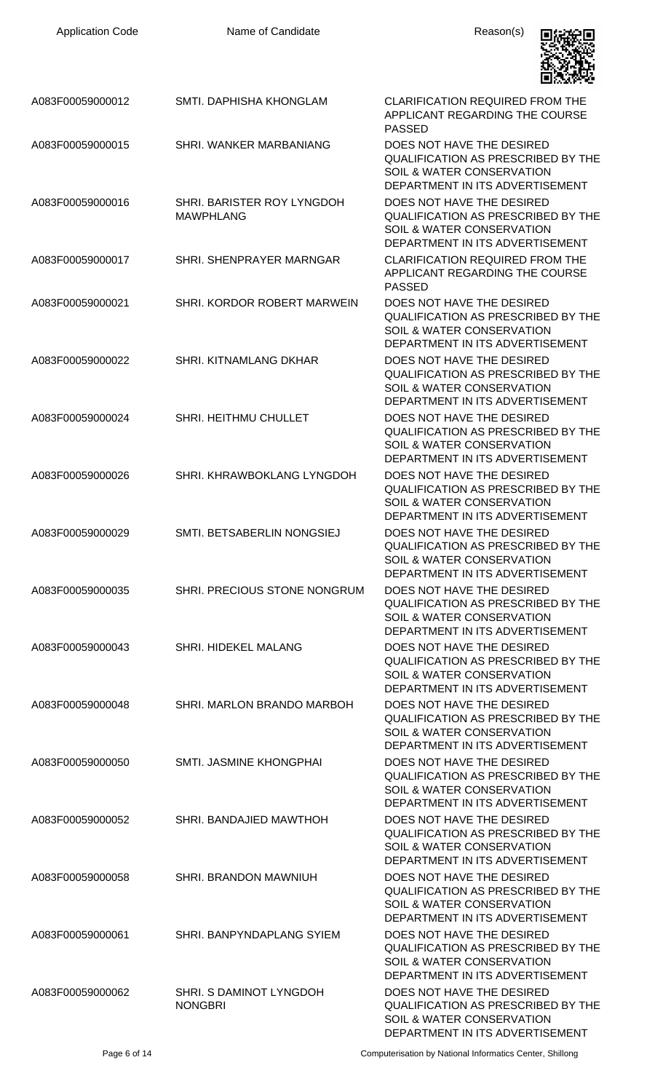| <b>Application Code</b> | Name of Candidate                              | Reason(s)                                                                                                                                         |
|-------------------------|------------------------------------------------|---------------------------------------------------------------------------------------------------------------------------------------------------|
| A083F00059000012        | SMTI. DAPHISHA KHONGLAM                        | <b>CLARIFICATION REQUIRED FROM THE</b><br>APPLICANT REGARDING THE COURSE<br><b>PASSED</b>                                                         |
| A083F00059000015        | SHRI. WANKER MARBANIANG                        | DOES NOT HAVE THE DESIRED<br><b>QUALIFICATION AS PRESCRIBED BY THE</b><br>SOIL & WATER CONSERVATION<br>DEPARTMENT IN ITS ADVERTISEMENT            |
| A083F00059000016        | SHRI. BARISTER ROY LYNGDOH<br><b>MAWPHLANG</b> | DOES NOT HAVE THE DESIRED<br>QUALIFICATION AS PRESCRIBED BY THE<br>SOIL & WATER CONSERVATION<br>DEPARTMENT IN ITS ADVERTISEMENT                   |
| A083F00059000017        | SHRI. SHENPRAYER MARNGAR                       | <b>CLARIFICATION REQUIRED FROM THE</b><br>APPLICANT REGARDING THE COURSE<br><b>PASSED</b>                                                         |
| A083F00059000021        | SHRI. KORDOR ROBERT MARWEIN                    | DOES NOT HAVE THE DESIRED<br>QUALIFICATION AS PRESCRIBED BY THE<br>SOIL & WATER CONSERVATION<br>DEPARTMENT IN ITS ADVERTISEMENT                   |
| A083F00059000022        | SHRI. KITNAMLANG DKHAR                         | DOES NOT HAVE THE DESIRED<br><b>QUALIFICATION AS PRESCRIBED BY THE</b><br>SOIL & WATER CONSERVATION<br>DEPARTMENT IN ITS ADVERTISEMENT            |
| A083F00059000024        | SHRI. HEITHMU CHULLET                          | DOES NOT HAVE THE DESIRED<br><b>QUALIFICATION AS PRESCRIBED BY THE</b><br><b>SOIL &amp; WATER CONSERVATION</b><br>DEPARTMENT IN ITS ADVERTISEMENT |
| A083F00059000026        | SHRI. KHRAWBOKLANG LYNGDOH                     | DOES NOT HAVE THE DESIRED<br>QUALIFICATION AS PRESCRIBED BY THE<br><b>SOIL &amp; WATER CONSERVATION</b><br>DEPARTMENT IN ITS ADVERTISEMENT        |
| A083F00059000029        | SMTI. BETSABERLIN NONGSIEJ                     | DOES NOT HAVE THE DESIRED<br>QUALIFICATION AS PRESCRIBED BY THE<br><b>SOIL &amp; WATER CONSERVATION</b><br>DEPARTMENT IN ITS ADVERTISEMENT        |
| A083F00059000035        | SHRI. PRECIOUS STONE NONGRUM                   | DOES NOT HAVE THE DESIRED<br><b>QUALIFICATION AS PRESCRIBED BY THE</b><br><b>SOIL &amp; WATER CONSERVATION</b><br>DEPARTMENT IN ITS ADVERTISEMENT |
| A083F00059000043        | SHRI. HIDEKEL MALANG                           | DOES NOT HAVE THE DESIRED<br><b>QUALIFICATION AS PRESCRIBED BY THE</b><br>SOIL & WATER CONSERVATION<br>DEPARTMENT IN ITS ADVERTISEMENT            |
| A083F00059000048        | SHRI. MARLON BRANDO MARBOH                     | DOES NOT HAVE THE DESIRED<br><b>QUALIFICATION AS PRESCRIBED BY THE</b><br>SOIL & WATER CONSERVATION<br>DEPARTMENT IN ITS ADVERTISEMENT            |
| A083F00059000050        | SMTI. JASMINE KHONGPHAI                        | DOES NOT HAVE THE DESIRED<br><b>QUALIFICATION AS PRESCRIBED BY THE</b><br>SOIL & WATER CONSERVATION<br>DEPARTMENT IN ITS ADVERTISEMENT            |
| A083F00059000052        | SHRI. BANDAJIED MAWTHOH                        | DOES NOT HAVE THE DESIRED<br><b>QUALIFICATION AS PRESCRIBED BY THE</b><br><b>SOIL &amp; WATER CONSERVATION</b><br>DEPARTMENT IN ITS ADVERTISEMENT |
| A083F00059000058        | SHRI. BRANDON MAWNIUH                          | DOES NOT HAVE THE DESIRED<br><b>QUALIFICATION AS PRESCRIBED BY THE</b><br><b>SOIL &amp; WATER CONSERVATION</b><br>DEPARTMENT IN ITS ADVERTISEMENT |
| A083F00059000061        | SHRI. BANPYNDAPLANG SYIEM                      | DOES NOT HAVE THE DESIRED<br><b>QUALIFICATION AS PRESCRIBED BY THE</b><br><b>SOIL &amp; WATER CONSERVATION</b><br>DEPARTMENT IN ITS ADVERTISEMENT |
| A083F00059000062        | SHRI. S DAMINOT LYNGDOH<br><b>NONGBRI</b>      | DOES NOT HAVE THE DESIRED<br><b>QUALIFICATION AS PRESCRIBED BY THE</b><br>SOIL & WATER CONSERVATION<br>DEPARTMENT IN ITS ADVERTISEMENT            |

Page 6 of 14 **Computerisation by National Informatics Center, Shillong**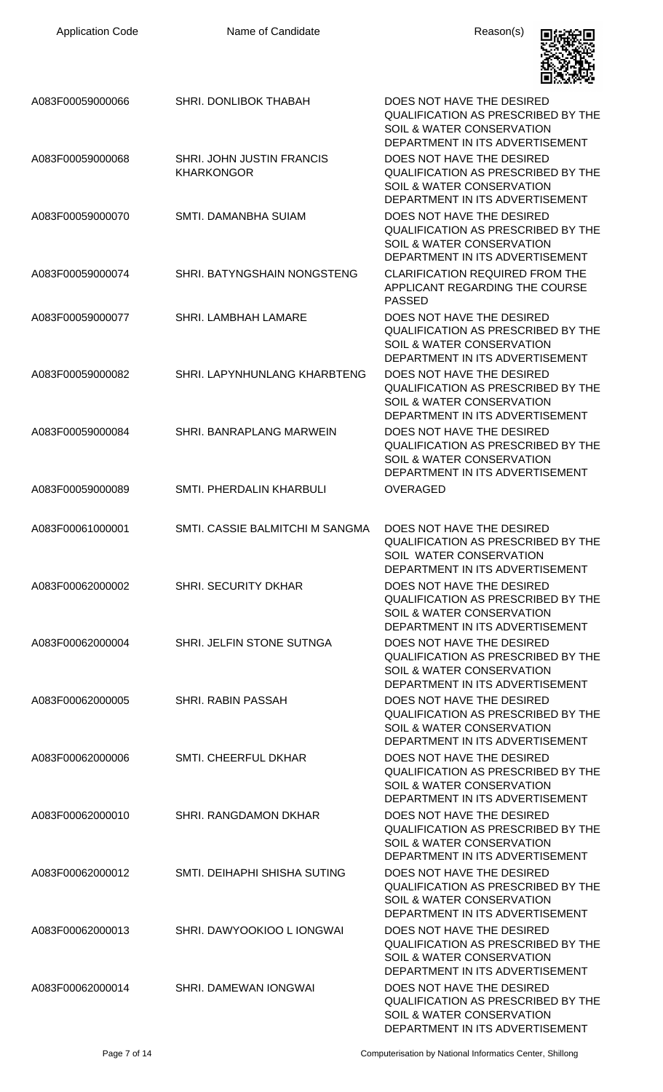| <b>Application Code</b> | Name of Candidate                              | Reason(s)                                                                                                                                         |
|-------------------------|------------------------------------------------|---------------------------------------------------------------------------------------------------------------------------------------------------|
| A083F00059000066        | SHRI. DONLIBOK THABAH                          | DOES NOT HAVE THE DESIRED<br>QUALIFICATION AS PRESCRIBED BY THE<br>SOIL & WATER CONSERVATION<br>DEPARTMENT IN ITS ADVERTISEMENT                   |
| A083F00059000068        | SHRI. JOHN JUSTIN FRANCIS<br><b>KHARKONGOR</b> | DOES NOT HAVE THE DESIRED<br><b>QUALIFICATION AS PRESCRIBED BY THE</b><br>SOIL & WATER CONSERVATION<br>DEPARTMENT IN ITS ADVERTISEMENT            |
| A083F00059000070        | SMTI. DAMANBHA SUIAM                           | DOES NOT HAVE THE DESIRED<br><b>QUALIFICATION AS PRESCRIBED BY THE</b><br><b>SOIL &amp; WATER CONSERVATION</b><br>DEPARTMENT IN ITS ADVERTISEMENT |
| A083F00059000074        | SHRI. BATYNGSHAIN NONGSTENG                    | <b>CLARIFICATION REQUIRED FROM THE</b><br>APPLICANT REGARDING THE COURSE<br><b>PASSED</b>                                                         |
| A083F00059000077        | SHRI. LAMBHAH LAMARE                           | DOES NOT HAVE THE DESIRED<br><b>QUALIFICATION AS PRESCRIBED BY THE</b><br>SOIL & WATER CONSERVATION<br>DEPARTMENT IN ITS ADVERTISEMENT            |
| A083F00059000082        | <b>SHRI. LAPYNHUNLANG KHARBTENG</b>            | DOES NOT HAVE THE DESIRED<br>QUALIFICATION AS PRESCRIBED BY THE<br>SOIL & WATER CONSERVATION<br>DEPARTMENT IN ITS ADVERTISEMENT                   |
| A083F00059000084        | SHRI. BANRAPLANG MARWEIN                       | DOES NOT HAVE THE DESIRED<br><b>QUALIFICATION AS PRESCRIBED BY THE</b><br>SOIL & WATER CONSERVATION<br>DEPARTMENT IN ITS ADVERTISEMENT            |
| A083F00059000089        | SMTI. PHERDALIN KHARBULI                       | <b>OVERAGED</b>                                                                                                                                   |
| A083F00061000001        | SMTI. CASSIE BALMITCHI M SANGMA                | DOES NOT HAVE THE DESIRED<br><b>QUALIFICATION AS PRESCRIBED BY THE</b><br>SOIL WATER CONSERVATION<br>DEPARTMENT IN ITS ADVERTISEMENT              |
| A083F00062000002        | <b>SHRI. SECURITY DKHAR</b>                    | DOES NOT HAVE THE DESIRED<br><b>QUALIFICATION AS PRESCRIBED BY THE</b><br><b>SOIL &amp; WATER CONSERVATION</b><br>DEPARTMENT IN ITS ADVERTISEMENT |
| A083F00062000004        | SHRI. JELFIN STONE SUTNGA                      | DOES NOT HAVE THE DESIRED<br><b>QUALIFICATION AS PRESCRIBED BY THE</b><br>SOIL & WATER CONSERVATION<br>DEPARTMENT IN ITS ADVERTISEMENT            |
| A083F00062000005        | <b>SHRI. RABIN PASSAH</b>                      | DOES NOT HAVE THE DESIRED<br><b>QUALIFICATION AS PRESCRIBED BY THE</b><br>SOIL & WATER CONSERVATION<br>DEPARTMENT IN ITS ADVERTISEMENT            |
| A083F00062000006        | SMTI. CHEERFUL DKHAR                           | DOES NOT HAVE THE DESIRED<br>QUALIFICATION AS PRESCRIBED BY THE<br>SOIL & WATER CONSERVATION<br>DEPARTMENT IN ITS ADVERTISEMENT                   |
| A083F00062000010        | SHRI. RANGDAMON DKHAR                          | DOES NOT HAVE THE DESIRED<br><b>QUALIFICATION AS PRESCRIBED BY THE</b><br>SOIL & WATER CONSERVATION<br>DEPARTMENT IN ITS ADVERTISEMENT            |
| A083F00062000012        | SMTI. DEIHAPHI SHISHA SUTING                   | DOES NOT HAVE THE DESIRED<br><b>QUALIFICATION AS PRESCRIBED BY THE</b><br>SOIL & WATER CONSERVATION<br>DEPARTMENT IN ITS ADVERTISEMENT            |
| A083F00062000013        | SHRI. DAWYOOKIOO L IONGWAI                     | DOES NOT HAVE THE DESIRED<br><b>QUALIFICATION AS PRESCRIBED BY THE</b><br><b>SOIL &amp; WATER CONSERVATION</b><br>DEPARTMENT IN ITS ADVERTISEMENT |
| A083F00062000014        | SHRI. DAMEWAN IONGWAI                          | DOES NOT HAVE THE DESIRED<br>QUALIFICATION AS PRESCRIBED BY THE<br>SOIL & WATER CONSERVATION<br>DEPARTMENT IN ITS ADVERTISEMENT                   |

Page 7 of 14 **Page 7 of 14** Computerisation by National Informatics Center, Shillong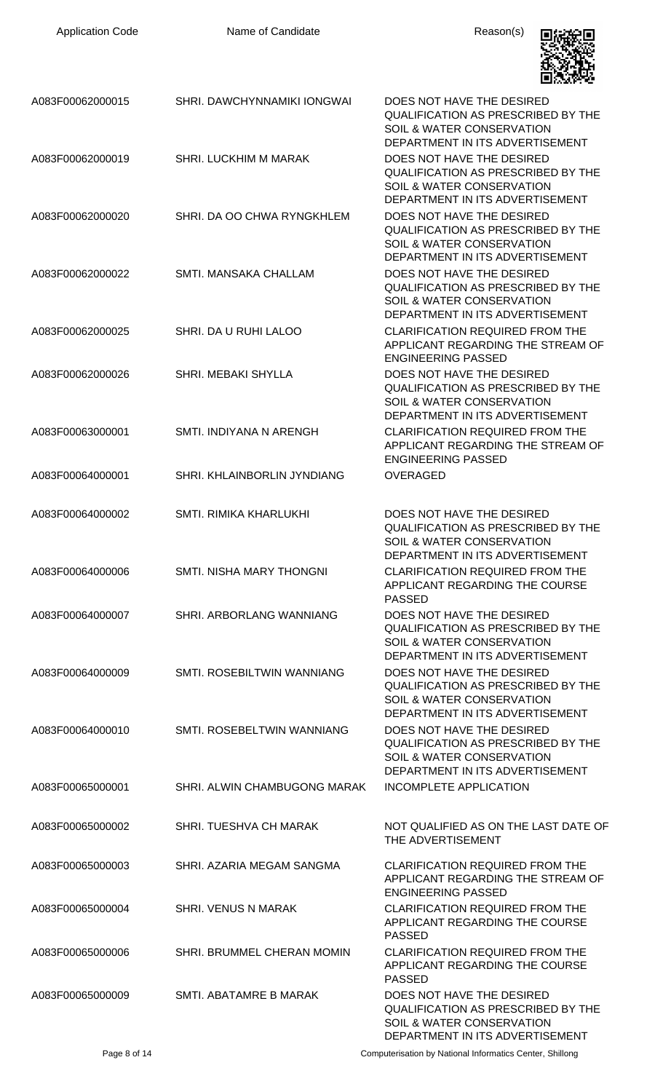| <b>Application Code</b> | Name of Candidate                 | Reason(s)                                                                                                                                         |
|-------------------------|-----------------------------------|---------------------------------------------------------------------------------------------------------------------------------------------------|
| A083F00062000015        | SHRI. DAWCHYNNAMIKI IONGWAI       | DOES NOT HAVE THE DESIRED<br>QUALIFICATION AS PRESCRIBED BY THE<br>SOIL & WATER CONSERVATION<br>DEPARTMENT IN ITS ADVERTISEMENT                   |
| A083F00062000019        | <b>SHRI. LUCKHIM M MARAK</b>      | DOES NOT HAVE THE DESIRED<br><b>QUALIFICATION AS PRESCRIBED BY THE</b><br><b>SOIL &amp; WATER CONSERVATION</b><br>DEPARTMENT IN ITS ADVERTISEMENT |
| A083F00062000020        | SHRI. DA OO CHWA RYNGKHLEM        | DOES NOT HAVE THE DESIRED<br><b>QUALIFICATION AS PRESCRIBED BY THE</b><br>SOIL & WATER CONSERVATION<br>DEPARTMENT IN ITS ADVERTISEMENT            |
| A083F00062000022        | SMTI. MANSAKA CHALLAM             | DOES NOT HAVE THE DESIRED<br><b>QUALIFICATION AS PRESCRIBED BY THE</b><br><b>SOIL &amp; WATER CONSERVATION</b><br>DEPARTMENT IN ITS ADVERTISEMENT |
| A083F00062000025        | SHRI. DA U RUHI LALOO             | <b>CLARIFICATION REQUIRED FROM THE</b><br>APPLICANT REGARDING THE STREAM OF<br><b>ENGINEERING PASSED</b>                                          |
| A083F00062000026        | <b>SHRI. MEBAKI SHYLLA</b>        | DOES NOT HAVE THE DESIRED<br><b>QUALIFICATION AS PRESCRIBED BY THE</b><br>SOIL & WATER CONSERVATION<br>DEPARTMENT IN ITS ADVERTISEMENT            |
| A083F00063000001        | SMTI. INDIYANA N ARENGH           | <b>CLARIFICATION REQUIRED FROM THE</b><br>APPLICANT REGARDING THE STREAM OF<br><b>ENGINEERING PASSED</b>                                          |
| A083F00064000001        | SHRI. KHLAINBORLIN JYNDIANG       | <b>OVERAGED</b>                                                                                                                                   |
| A083F00064000002        | SMTI. RIMIKA KHARLUKHI            | DOES NOT HAVE THE DESIRED<br>QUALIFICATION AS PRESCRIBED BY THE<br>SOIL & WATER CONSERVATION<br>DEPARTMENT IN ITS ADVERTISEMENT                   |
| A083F00064000006        | SMTI. NISHA MARY THONGNI          | <b>CLARIFICATION REQUIRED FROM THE</b><br>APPLICANT REGARDING THE COURSE<br><b>PASSED</b>                                                         |
| A083F00064000007        | SHRI. ARBORLANG WANNIANG          | DOES NOT HAVE THE DESIRED<br><b>QUALIFICATION AS PRESCRIBED BY THE</b><br>SOIL & WATER CONSERVATION<br>DEPARTMENT IN ITS ADVERTISEMENT            |
| A083F00064000009        | SMTI. ROSEBILTWIN WANNIANG        | DOES NOT HAVE THE DESIRED<br><b>QUALIFICATION AS PRESCRIBED BY THE</b><br>SOIL & WATER CONSERVATION<br>DEPARTMENT IN ITS ADVERTISEMENT            |
| A083F00064000010        | SMTI. ROSEBELTWIN WANNIANG        | DOES NOT HAVE THE DESIRED<br><b>QUALIFICATION AS PRESCRIBED BY THE</b><br>SOIL & WATER CONSERVATION<br>DEPARTMENT IN ITS ADVERTISEMENT            |
| A083F00065000001        | SHRI. ALWIN CHAMBUGONG MARAK      | INCOMPLETE APPLICATION                                                                                                                            |
| A083F00065000002        | SHRI. TUESHVA CH MARAK            | NOT QUALIFIED AS ON THE LAST DATE OF<br>THE ADVERTISEMENT                                                                                         |
| A083F00065000003        | SHRI. AZARIA MEGAM SANGMA         | <b>CLARIFICATION REQUIRED FROM THE</b><br>APPLICANT REGARDING THE STREAM OF<br><b>ENGINEERING PASSED</b>                                          |
| A083F00065000004        | <b>SHRI. VENUS N MARAK</b>        | <b>CLARIFICATION REQUIRED FROM THE</b><br>APPLICANT REGARDING THE COURSE<br><b>PASSED</b>                                                         |
| A083F00065000006        | <b>SHRI. BRUMMEL CHERAN MOMIN</b> | <b>CLARIFICATION REQUIRED FROM THE</b><br>APPLICANT REGARDING THE COURSE<br><b>PASSED</b>                                                         |
| A083F00065000009        | SMTI. ABATAMRE B MARAK            | DOES NOT HAVE THE DESIRED<br>QUALIFICATION AS PRESCRIBED BY THE<br>SOIL & WATER CONSERVATION<br>DEPARTMENT IN ITS ADVERTISEMENT                   |

Page 8 of 14 **Page 8 of 14** Computerisation by National Informatics Center, Shillong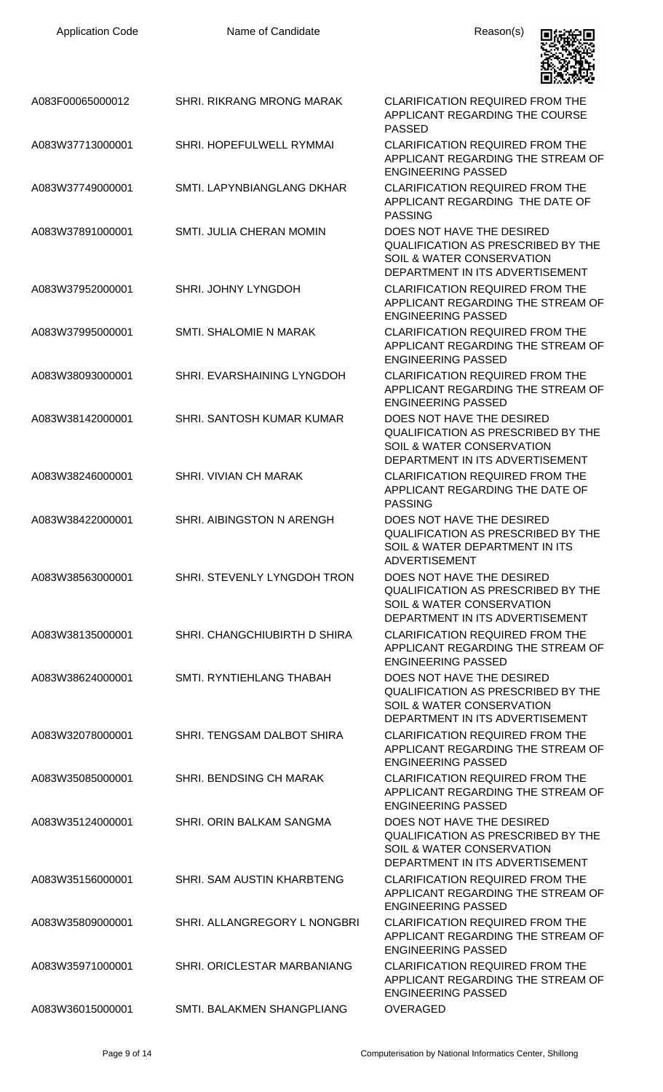| <b>Application Code</b> | Name of Candidate                | Reason(s)                                                                                                                       |
|-------------------------|----------------------------------|---------------------------------------------------------------------------------------------------------------------------------|
| A083F00065000012        | <b>SHRI. RIKRANG MRONG MARAK</b> | <b>CLARIFICATION REQUIRED FROM THE</b><br>APPLICANT REGARDING THE COURSE<br><b>PASSED</b>                                       |
| A083W37713000001        | SHRI. HOPEFULWELL RYMMAI         | <b>CLARIFICATION REQUIRED FROM THE</b><br>APPLICANT REGARDING THE STREAM OF<br><b>ENGINEERING PASSED</b>                        |
| A083W37749000001        | SMTI. LAPYNBIANGLANG DKHAR       | <b>CLARIFICATION REQUIRED FROM THE</b><br>APPLICANT REGARDING THE DATE OF<br><b>PASSING</b>                                     |
| A083W37891000001        | <b>SMTI. JULIA CHERAN MOMIN</b>  | DOES NOT HAVE THE DESIRED<br>QUALIFICATION AS PRESCRIBED BY THE<br>SOIL & WATER CONSERVATION<br>DEPARTMENT IN ITS ADVERTISEMENT |
| A083W37952000001        | SHRI. JOHNY LYNGDOH              | <b>CLARIFICATION REQUIRED FROM THE</b><br>APPLICANT REGARDING THE STREAM OF<br><b>ENGINEERING PASSED</b>                        |
| A083W37995000001        | SMTI. SHALOMIE N MARAK           | <b>CLARIFICATION REQUIRED FROM THE</b><br>APPLICANT REGARDING THE STREAM OF<br><b>ENGINEERING PASSED</b>                        |
| A083W38093000001        | SHRI. EVARSHAINING LYNGDOH       | <b>CLARIFICATION REQUIRED FROM THE</b><br>APPLICANT REGARDING THE STREAM OF<br><b>ENGINEERING PASSED</b>                        |
| A083W38142000001        | SHRI. SANTOSH KUMAR KUMAR        | DOES NOT HAVE THE DESIRED<br>QUALIFICATION AS PRESCRIBED BY THE<br>SOIL & WATER CONSERVATION<br>DEPARTMENT IN ITS ADVERTISEMENT |
| A083W38246000001        | SHRI. VIVIAN CH MARAK            | <b>CLARIFICATION REQUIRED FROM THE</b><br>APPLICANT REGARDING THE DATE OF<br><b>PASSING</b>                                     |
| A083W38422000001        | SHRI. AIBINGSTON N ARENGH        | DOES NOT HAVE THE DESIRED<br>QUALIFICATION AS PRESCRIBED BY THE<br>SOIL & WATER DEPARTMENT IN ITS<br><b>ADVERTISEMENT</b>       |
| A083W38563000001        | SHRI. STEVENLY LYNGDOH TRON      | DOES NOT HAVE THE DESIRED<br>QUALIFICATION AS PRESCRIBED BY THE<br>SOIL & WATER CONSERVATION<br>DEPARTMENT IN ITS ADVERTISEMENT |
| A083W38135000001        | SHRI. CHANGCHIUBIRTH D SHIRA     | <b>CLARIFICATION REQUIRED FROM THE</b><br>APPLICANT REGARDING THE STREAM OF<br><b>ENGINEERING PASSED</b>                        |
| A083W38624000001        | SMTI. RYNTIEHLANG THABAH         | DOES NOT HAVE THE DESIRED<br>QUALIFICATION AS PRESCRIBED BY THE<br>SOIL & WATER CONSERVATION<br>DEPARTMENT IN ITS ADVERTISEMENT |
| A083W32078000001        | SHRI. TENGSAM DALBOT SHIRA       | <b>CLARIFICATION REQUIRED FROM THE</b><br>APPLICANT REGARDING THE STREAM OF<br><b>ENGINEERING PASSED</b>                        |
| A083W35085000001        | <b>SHRI. BENDSING CH MARAK</b>   | <b>CLARIFICATION REQUIRED FROM THE</b><br>APPLICANT REGARDING THE STREAM OF<br><b>ENGINEERING PASSED</b>                        |
| A083W35124000001        | SHRI. ORIN BALKAM SANGMA         | DOES NOT HAVE THE DESIRED<br>QUALIFICATION AS PRESCRIBED BY THE<br>SOIL & WATER CONSERVATION<br>DEPARTMENT IN ITS ADVERTISEMENT |
| A083W35156000001        | SHRI. SAM AUSTIN KHARBTENG       | <b>CLARIFICATION REQUIRED FROM THE</b><br>APPLICANT REGARDING THE STREAM OF<br><b>ENGINEERING PASSED</b>                        |
| A083W35809000001        | SHRI. ALLANGREGORY L NONGBRI     | <b>CLARIFICATION REQUIRED FROM THE</b><br>APPLICANT REGARDING THE STREAM OF<br><b>ENGINEERING PASSED</b>                        |
| A083W35971000001        | SHRI. ORICLESTAR MARBANIANG      | <b>CLARIFICATION REQUIRED FROM THE</b><br>APPLICANT REGARDING THE STREAM OF<br><b>ENGINEERING PASSED</b>                        |
| A083W36015000001        | SMTI. BALAKMEN SHANGPLIANG       | OVERAGED                                                                                                                        |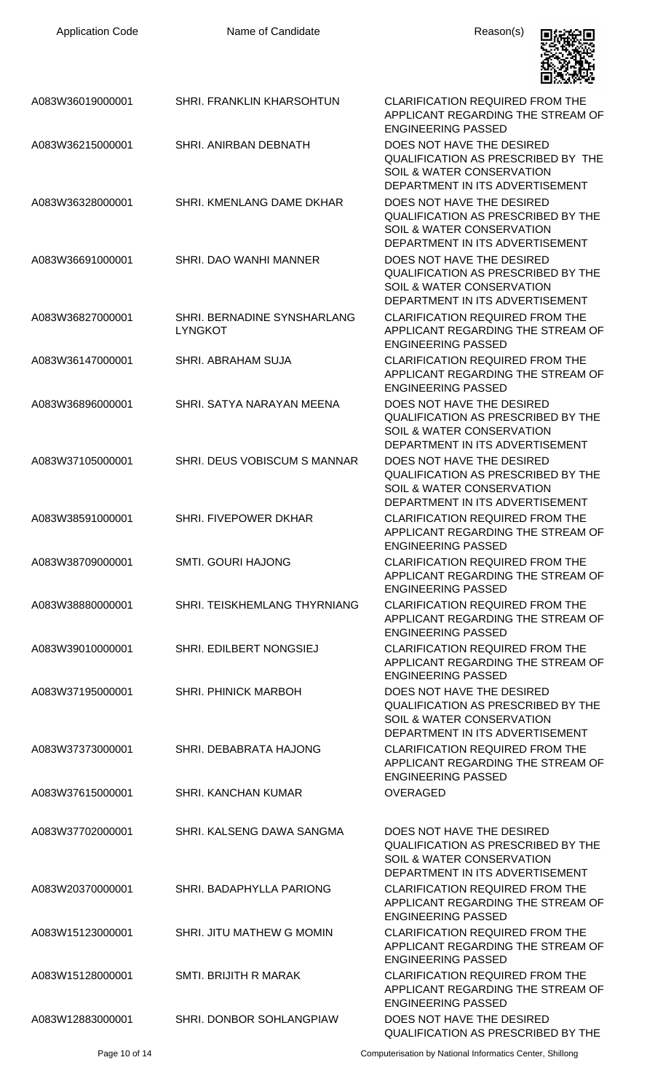| <b>Application Code</b> | Name of Candidate                             | Reason(s)                                                                                                                                         |
|-------------------------|-----------------------------------------------|---------------------------------------------------------------------------------------------------------------------------------------------------|
| A083W36019000001        | SHRI. FRANKLIN KHARSOHTUN                     | <b>CLARIFICATION REQUIRED FROM THE</b><br>APPLICANT REGARDING THE STREAM OF<br><b>ENGINEERING PASSED</b>                                          |
| A083W36215000001        | SHRI. ANIRBAN DEBNATH                         | DOES NOT HAVE THE DESIRED<br>QUALIFICATION AS PRESCRIBED BY THE<br>SOIL & WATER CONSERVATION<br>DEPARTMENT IN ITS ADVERTISEMENT                   |
| A083W36328000001        | SHRI. KMENLANG DAME DKHAR                     | DOES NOT HAVE THE DESIRED<br>QUALIFICATION AS PRESCRIBED BY THE<br>SOIL & WATER CONSERVATION<br>DEPARTMENT IN ITS ADVERTISEMENT                   |
| A083W36691000001        | SHRI, DAO WANHI MANNER                        | DOES NOT HAVE THE DESIRED<br><b>QUALIFICATION AS PRESCRIBED BY THE</b><br><b>SOIL &amp; WATER CONSERVATION</b><br>DEPARTMENT IN ITS ADVERTISEMENT |
| A083W36827000001        | SHRI. BERNADINE SYNSHARLANG<br><b>LYNGKOT</b> | <b>CLARIFICATION REQUIRED FROM THE</b><br>APPLICANT REGARDING THE STREAM OF<br><b>ENGINEERING PASSED</b>                                          |
| A083W36147000001        | <b>SHRI. ABRAHAM SUJA</b>                     | <b>CLARIFICATION REQUIRED FROM THE</b><br>APPLICANT REGARDING THE STREAM OF<br><b>ENGINEERING PASSED</b>                                          |
| A083W36896000001        | SHRI. SATYA NARAYAN MEENA                     | DOES NOT HAVE THE DESIRED<br><b>QUALIFICATION AS PRESCRIBED BY THE</b><br>SOIL & WATER CONSERVATION<br>DEPARTMENT IN ITS ADVERTISEMENT            |
| A083W37105000001        | SHRI. DEUS VOBISCUM S MANNAR                  | DOES NOT HAVE THE DESIRED<br><b>QUALIFICATION AS PRESCRIBED BY THE</b><br>SOIL & WATER CONSERVATION<br>DEPARTMENT IN ITS ADVERTISEMENT            |
| A083W38591000001        | SHRI. FIVEPOWER DKHAR                         | <b>CLARIFICATION REQUIRED FROM THE</b><br>APPLICANT REGARDING THE STREAM OF<br><b>ENGINEERING PASSED</b>                                          |
| A083W38709000001        | <b>SMTI. GOURI HAJONG</b>                     | <b>CLARIFICATION REQUIRED FROM THE</b><br>APPLICANT REGARDING THE STREAM OF<br><b>ENGINEERING PASSED</b>                                          |
| A083W38880000001        | SHRI. TEISKHEMLANG THYRNIANG                  | <b>CLARIFICATION REQUIRED FROM THE</b><br>APPLICANT REGARDING THE STREAM OF<br><b>ENGINEERING PASSED</b>                                          |
| A083W39010000001        | SHRI. EDILBERT NONGSIEJ                       | <b>CLARIFICATION REQUIRED FROM THE</b><br>APPLICANT REGARDING THE STREAM OF<br><b>ENGINEERING PASSED</b>                                          |
| A083W37195000001        | <b>SHRI. PHINICK MARBOH</b>                   | DOES NOT HAVE THE DESIRED<br>QUALIFICATION AS PRESCRIBED BY THE<br>SOIL & WATER CONSERVATION<br>DEPARTMENT IN ITS ADVERTISEMENT                   |
| A083W37373000001        | SHRI. DEBABRATA HAJONG                        | <b>CLARIFICATION REQUIRED FROM THE</b><br>APPLICANT REGARDING THE STREAM OF<br><b>ENGINEERING PASSED</b>                                          |
| A083W37615000001        | SHRI. KANCHAN KUMAR                           | <b>OVERAGED</b>                                                                                                                                   |
| A083W37702000001        | SHRI. KALSENG DAWA SANGMA                     | DOES NOT HAVE THE DESIRED<br>QUALIFICATION AS PRESCRIBED BY THE<br>SOIL & WATER CONSERVATION<br>DEPARTMENT IN ITS ADVERTISEMENT                   |
| A083W20370000001        | SHRI. BADAPHYLLA PARIONG                      | <b>CLARIFICATION REQUIRED FROM THE</b><br>APPLICANT REGARDING THE STREAM OF<br><b>ENGINEERING PASSED</b>                                          |
| A083W15123000001        | SHRI. JITU MATHEW G MOMIN                     | <b>CLARIFICATION REQUIRED FROM THE</b><br>APPLICANT REGARDING THE STREAM OF<br><b>ENGINEERING PASSED</b>                                          |
| A083W15128000001        | SMTI. BRIJITH R MARAK                         | <b>CLARIFICATION REQUIRED FROM THE</b><br>APPLICANT REGARDING THE STREAM OF<br><b>ENGINEERING PASSED</b>                                          |
| A083W12883000001        | SHRI. DONBOR SOHLANGPIAW                      | DOES NOT HAVE THE DESIRED<br><b>QUALIFICATION AS PRESCRIBED BY THE</b>                                                                            |

Page 10 of 14 Computerisation by National Informatics Center, Shillong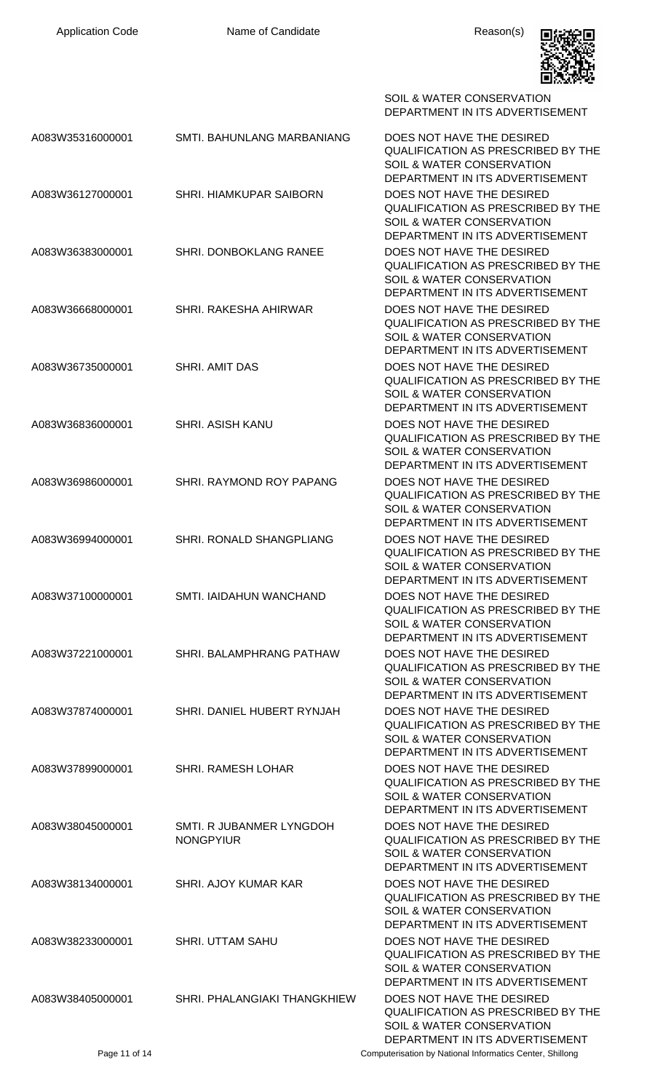

|                  |                                              | <b>SOIL &amp; WATER CONSERVATION</b><br>DEPARTMENT IN ITS ADVERTISEMENT                                                                           |
|------------------|----------------------------------------------|---------------------------------------------------------------------------------------------------------------------------------------------------|
| A083W35316000001 | SMTI. BAHUNLANG MARBANIANG                   | DOES NOT HAVE THE DESIRED<br>QUALIFICATION AS PRESCRIBED BY THE<br>SOIL & WATER CONSERVATION<br>DEPARTMENT IN ITS ADVERTISEMENT                   |
| A083W36127000001 | SHRI. HIAMKUPAR SAIBORN                      | DOES NOT HAVE THE DESIRED<br><b>QUALIFICATION AS PRESCRIBED BY THE</b><br><b>SOIL &amp; WATER CONSERVATION</b><br>DEPARTMENT IN ITS ADVERTISEMENT |
| A083W36383000001 | <b>SHRI. DONBOKLANG RANEE</b>                | DOES NOT HAVE THE DESIRED<br>QUALIFICATION AS PRESCRIBED BY THE<br><b>SOIL &amp; WATER CONSERVATION</b><br>DEPARTMENT IN ITS ADVERTISEMENT        |
| A083W36668000001 | SHRI. RAKESHA AHIRWAR                        | DOES NOT HAVE THE DESIRED<br>QUALIFICATION AS PRESCRIBED BY THE<br>SOIL & WATER CONSERVATION<br>DEPARTMENT IN ITS ADVERTISEMENT                   |
| A083W36735000001 | SHRI. AMIT DAS                               | DOES NOT HAVE THE DESIRED<br>QUALIFICATION AS PRESCRIBED BY THE<br>SOIL & WATER CONSERVATION<br>DEPARTMENT IN ITS ADVERTISEMENT                   |
| A083W36836000001 | <b>SHRI. ASISH KANU</b>                      | DOES NOT HAVE THE DESIRED<br>QUALIFICATION AS PRESCRIBED BY THE<br>SOIL & WATER CONSERVATION<br>DEPARTMENT IN ITS ADVERTISEMENT                   |
| A083W36986000001 | SHRI. RAYMOND ROY PAPANG                     | DOES NOT HAVE THE DESIRED<br>QUALIFICATION AS PRESCRIBED BY THE<br>SOIL & WATER CONSERVATION<br>DEPARTMENT IN ITS ADVERTISEMENT                   |
| A083W36994000001 | SHRI. RONALD SHANGPLIANG                     | DOES NOT HAVE THE DESIRED<br>QUALIFICATION AS PRESCRIBED BY THE<br>SOIL & WATER CONSERVATION<br>DEPARTMENT IN ITS ADVERTISEMENT                   |
| A083W37100000001 | SMTI. IAIDAHUN WANCHAND                      | DOES NOT HAVE THE DESIRED<br>QUALIFICATION AS PRESCRIBED BY THE<br><b>SOIL &amp; WATER CONSERVATION</b><br>DEPARTMENT IN ITS ADVERTISEMENT        |
| A083W37221000001 | SHRI. BALAMPHRANG PATHAW                     | DOES NOT HAVE THE DESIRED<br>QUALIFICATION AS PRESCRIBED BY THE<br>SOIL & WATER CONSERVATION<br>DEPARTMENT IN ITS ADVERTISEMENT                   |
| A083W37874000001 | SHRI. DANIEL HUBERT RYNJAH                   | DOES NOT HAVE THE DESIRED<br>QUALIFICATION AS PRESCRIBED BY THE<br><b>SOIL &amp; WATER CONSERVATION</b><br>DEPARTMENT IN ITS ADVERTISEMENT        |
| A083W37899000001 | <b>SHRI. RAMESH LOHAR</b>                    | DOES NOT HAVE THE DESIRED<br>QUALIFICATION AS PRESCRIBED BY THE<br>SOIL & WATER CONSERVATION<br>DEPARTMENT IN ITS ADVERTISEMENT                   |
| A083W38045000001 | SMTI. R JUBANMER LYNGDOH<br><b>NONGPYIUR</b> | DOES NOT HAVE THE DESIRED<br>QUALIFICATION AS PRESCRIBED BY THE<br>SOIL & WATER CONSERVATION<br>DEPARTMENT IN ITS ADVERTISEMENT                   |
| A083W38134000001 | SHRI. AJOY KUMAR KAR                         | DOES NOT HAVE THE DESIRED<br><b>QUALIFICATION AS PRESCRIBED BY THE</b><br><b>SOIL &amp; WATER CONSERVATION</b><br>DEPARTMENT IN ITS ADVERTISEMENT |
| A083W38233000001 | <b>SHRI. UTTAM SAHU</b>                      | DOES NOT HAVE THE DESIRED<br><b>QUALIFICATION AS PRESCRIBED BY THE</b><br><b>SOIL &amp; WATER CONSERVATION</b><br>DEPARTMENT IN ITS ADVERTISEMENT |
| A083W38405000001 | SHRI. PHALANGIAKI THANGKHIEW                 | DOES NOT HAVE THE DESIRED<br>QUALIFICATION AS PRESCRIBED BY THE<br>SOIL & WATER CONSERVATION<br>DEPARTMENT IN ITS ADVERTISEMENT                   |
| Page 11 of 14    |                                              | Computerisation by National Informatics Center, Shillong                                                                                          |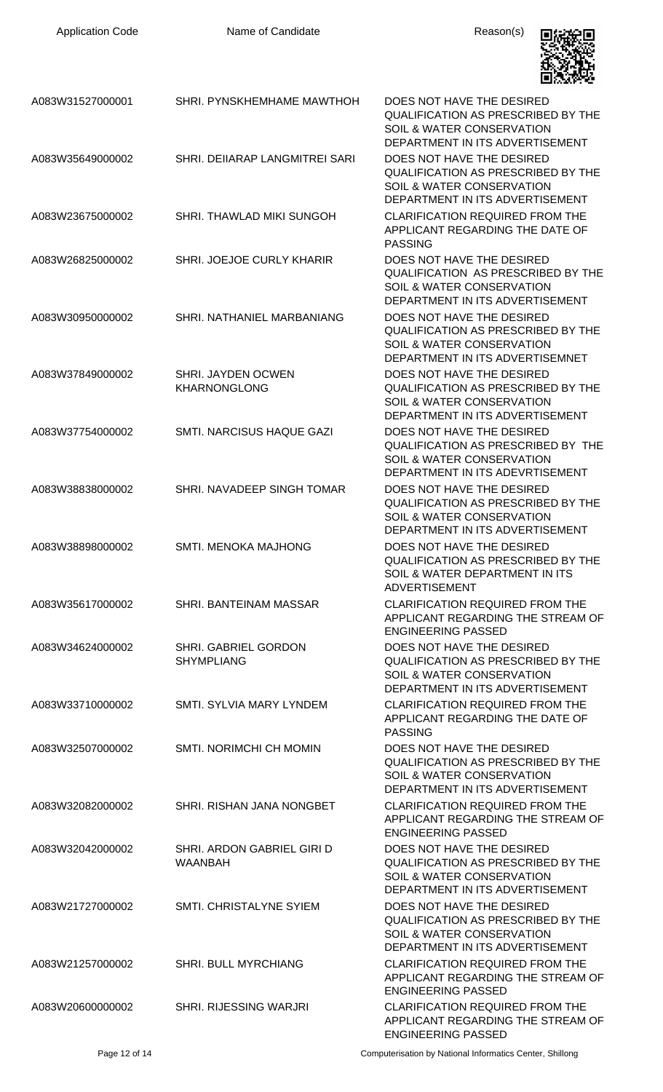| <b>Application Code</b> | Name of Candidate                            | Reason(s)                                                                                                                                  |
|-------------------------|----------------------------------------------|--------------------------------------------------------------------------------------------------------------------------------------------|
| A083W31527000001        | SHRI. PYNSKHEMHAME MAWTHOH                   | DOES NOT HAVE THE DESIRED<br>QUALIFICATION AS PRESCRIBED BY THE<br>SOIL & WATER CONSERVATION<br>DEPARTMENT IN ITS ADVERTISEMENT            |
| A083W35649000002        | SHRI. DEIIARAP LANGMITREI SARI               | DOES NOT HAVE THE DESIRED<br><b>QUALIFICATION AS PRESCRIBED BY THE</b><br>SOIL & WATER CONSERVATION<br>DEPARTMENT IN ITS ADVERTISEMENT     |
| A083W23675000002        | SHRI. THAWLAD MIKI SUNGOH                    | <b>CLARIFICATION REQUIRED FROM THE</b><br>APPLICANT REGARDING THE DATE OF<br><b>PASSING</b>                                                |
| A083W26825000002        | SHRI. JOEJOE CURLY KHARIR                    | DOES NOT HAVE THE DESIRED<br><b>QUALIFICATION AS PRESCRIBED BY THE</b><br>SOIL & WATER CONSERVATION<br>DEPARTMENT IN ITS ADVERTISEMENT     |
| A083W30950000002        | SHRI. NATHANIEL MARBANIANG                   | DOES NOT HAVE THE DESIRED<br><b>QUALIFICATION AS PRESCRIBED BY THE</b><br>SOIL & WATER CONSERVATION<br>DEPARTMENT IN ITS ADVERTISEMNET     |
| A083W37849000002        | SHRI. JAYDEN OCWEN<br><b>KHARNONGLONG</b>    | DOES NOT HAVE THE DESIRED<br>QUALIFICATION AS PRESCRIBED BY THE<br>SOIL & WATER CONSERVATION<br>DEPARTMENT IN ITS ADVERTISEMENT            |
| A083W37754000002        | SMTI. NARCISUS HAQUE GAZI                    | DOES NOT HAVE THE DESIRED<br><b>QUALIFICATION AS PRESCRIBED BY THE</b><br>SOIL & WATER CONSERVATION<br>DEPARTMENT IN ITS ADEVRTISEMENT     |
| A083W38838000002        | SHRI. NAVADEEP SINGH TOMAR                   | DOES NOT HAVE THE DESIRED<br>QUALIFICATION AS PRESCRIBED BY THE<br><b>SOIL &amp; WATER CONSERVATION</b><br>DEPARTMENT IN ITS ADVERTISEMENT |
| A083W38898000002        | <b>SMTI. MENOKA MAJHONG</b>                  | DOES NOT HAVE THE DESIRED<br><b>QUALIFICATION AS PRESCRIBED BY THE</b><br>SOIL & WATER DEPARTMENT IN ITS<br><b>ADVERTISEMENT</b>           |
| A083W35617000002        | SHRI. BANTEINAM MASSAR                       | <b>CLARIFICATION REQUIRED FROM THE</b><br>APPLICANT REGARDING THE STREAM OF<br><b>ENGINEERING PASSED</b>                                   |
| A083W34624000002        | SHRI. GABRIEL GORDON<br><b>SHYMPLIANG</b>    | DOES NOT HAVE THE DESIRED<br><b>QUALIFICATION AS PRESCRIBED BY THE</b><br>SOIL & WATER CONSERVATION<br>DEPARTMENT IN ITS ADVERTISEMENT     |
| A083W33710000002        | SMTI. SYLVIA MARY LYNDEM                     | <b>CLARIFICATION REQUIRED FROM THE</b><br>APPLICANT REGARDING THE DATE OF<br><b>PASSING</b>                                                |
| A083W32507000002        | SMTI. NORIMCHI CH MOMIN                      | DOES NOT HAVE THE DESIRED<br><b>QUALIFICATION AS PRESCRIBED BY THE</b><br>SOIL & WATER CONSERVATION<br>DEPARTMENT IN ITS ADVERTISEMENT     |
| A083W32082000002        | SHRI. RISHAN JANA NONGBET                    | <b>CLARIFICATION REQUIRED FROM THE</b><br>APPLICANT REGARDING THE STREAM OF<br><b>ENGINEERING PASSED</b>                                   |
| A083W32042000002        | SHRI. ARDON GABRIEL GIRI D<br><b>WAANBAH</b> | DOES NOT HAVE THE DESIRED<br><b>QUALIFICATION AS PRESCRIBED BY THE</b><br>SOIL & WATER CONSERVATION<br>DEPARTMENT IN ITS ADVERTISEMENT     |
| A083W21727000002        | SMTI. CHRISTALYNE SYIEM                      | DOES NOT HAVE THE DESIRED<br><b>QUALIFICATION AS PRESCRIBED BY THE</b><br>SOIL & WATER CONSERVATION<br>DEPARTMENT IN ITS ADVERTISEMENT     |
| A083W21257000002        | <b>SHRI. BULL MYRCHIANG</b>                  | <b>CLARIFICATION REQUIRED FROM THE</b><br>APPLICANT REGARDING THE STREAM OF<br><b>ENGINEERING PASSED</b>                                   |
| A083W20600000002        | SHRI. RIJESSING WARJRI                       | <b>CLARIFICATION REQUIRED FROM THE</b><br>APPLICANT REGARDING THE STREAM OF<br><b>ENGINEERING PASSED</b>                                   |

Page 12 of 14 Computerisation by National Informatics Center, Shillong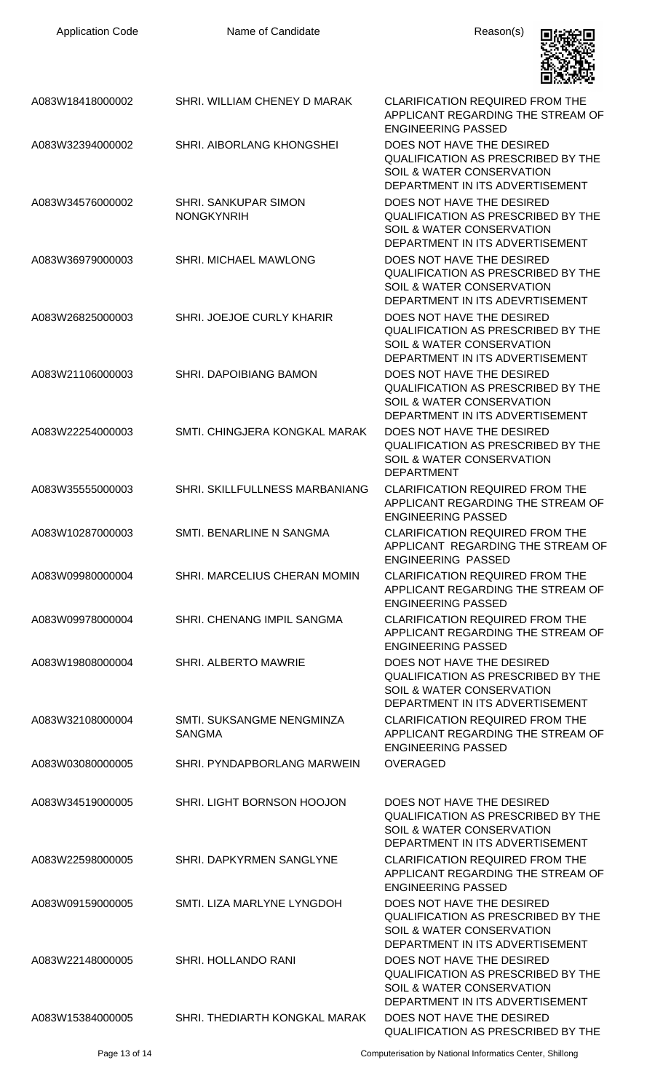| <b>Application Code</b> | Name of Candidate                                | Reason(s)                                                                                                                                         |
|-------------------------|--------------------------------------------------|---------------------------------------------------------------------------------------------------------------------------------------------------|
| A083W18418000002        | SHRI. WILLIAM CHENEY D MARAK                     | <b>CLARIFICATION REQUIRED FROM THE</b><br>APPLICANT REGARDING THE STREAM OF<br><b>ENGINEERING PASSED</b>                                          |
| A083W32394000002        | <b>SHRI. AIBORLANG KHONGSHEI</b>                 | DOES NOT HAVE THE DESIRED<br><b>QUALIFICATION AS PRESCRIBED BY THE</b><br><b>SOIL &amp; WATER CONSERVATION</b><br>DEPARTMENT IN ITS ADVERTISEMENT |
| A083W34576000002        | <b>SHRI. SANKUPAR SIMON</b><br><b>NONGKYNRIH</b> | DOES NOT HAVE THE DESIRED<br>QUALIFICATION AS PRESCRIBED BY THE<br>SOIL & WATER CONSERVATION<br>DEPARTMENT IN ITS ADVERTISEMENT                   |
| A083W36979000003        | SHRI. MICHAEL MAWLONG                            | DOES NOT HAVE THE DESIRED<br>QUALIFICATION AS PRESCRIBED BY THE<br>SOIL & WATER CONSERVATION<br>DEPARTMENT IN ITS ADEVRTISEMENT                   |
| A083W26825000003        | <b>SHRI. JOEJOE CURLY KHARIR</b>                 | DOES NOT HAVE THE DESIRED<br><b>QUALIFICATION AS PRESCRIBED BY THE</b><br>SOIL & WATER CONSERVATION<br>DEPARTMENT IN ITS ADVERTISEMENT            |
| A083W21106000003        | SHRI. DAPOIBIANG BAMON                           | DOES NOT HAVE THE DESIRED<br>QUALIFICATION AS PRESCRIBED BY THE<br>SOIL & WATER CONSERVATION<br>DEPARTMENT IN ITS ADVERTISEMENT                   |
| A083W22254000003        | SMTI. CHINGJERA KONGKAL MARAK                    | DOES NOT HAVE THE DESIRED<br>QUALIFICATION AS PRESCRIBED BY THE<br>SOIL & WATER CONSERVATION<br><b>DEPARTMENT</b>                                 |
| A083W35555000003        | SHRI. SKILLFULLNESS MARBANIANG                   | <b>CLARIFICATION REQUIRED FROM THE</b><br>APPLICANT REGARDING THE STREAM OF<br><b>ENGINEERING PASSED</b>                                          |
| A083W10287000003        | SMTI. BENARLINE N SANGMA                         | <b>CLARIFICATION REQUIRED FROM THE</b><br>APPLICANT REGARDING THE STREAM OF<br><b>ENGINEERING PASSED</b>                                          |
| A083W09980000004        | SHRI. MARCELIUS CHERAN MOMIN                     | <b>CLARIFICATION REQUIRED FROM THE</b><br>APPLICANT REGARDING THE STREAM OF<br><b>ENGINEERING PASSED</b>                                          |
| A083W09978000004        | SHRI. CHENANG IMPIL SANGMA                       | <b>CLARIFICATION REQUIRED FROM THE</b><br>APPLICANT REGARDING THE STREAM OF<br><b>ENGINEERING PASSED</b>                                          |
| A083W19808000004        | <b>SHRI. ALBERTO MAWRIE</b>                      | DOES NOT HAVE THE DESIRED<br><b>QUALIFICATION AS PRESCRIBED BY THE</b><br>SOIL & WATER CONSERVATION<br>DEPARTMENT IN ITS ADVERTISEMENT            |
| A083W32108000004        | SMTI. SUKSANGME NENGMINZA<br><b>SANGMA</b>       | <b>CLARIFICATION REQUIRED FROM THE</b><br>APPLICANT REGARDING THE STREAM OF<br><b>ENGINEERING PASSED</b>                                          |
| A083W03080000005        | SHRI. PYNDAPBORLANG MARWEIN                      | <b>OVERAGED</b>                                                                                                                                   |
| A083W34519000005        | SHRI. LIGHT BORNSON HOOJON                       | DOES NOT HAVE THE DESIRED<br>QUALIFICATION AS PRESCRIBED BY THE<br>SOIL & WATER CONSERVATION<br>DEPARTMENT IN ITS ADVERTISEMENT                   |
| A083W22598000005        | SHRI. DAPKYRMEN SANGLYNE                         | <b>CLARIFICATION REQUIRED FROM THE</b><br>APPLICANT REGARDING THE STREAM OF<br><b>ENGINEERING PASSED</b>                                          |
| A083W09159000005        | SMTI. LIZA MARLYNE LYNGDOH                       | DOES NOT HAVE THE DESIRED<br><b>QUALIFICATION AS PRESCRIBED BY THE</b><br><b>SOIL &amp; WATER CONSERVATION</b><br>DEPARTMENT IN ITS ADVERTISEMENT |
| A083W22148000005        | <b>SHRI. HOLLANDO RANI</b>                       | DOES NOT HAVE THE DESIRED<br><b>QUALIFICATION AS PRESCRIBED BY THE</b><br>SOIL & WATER CONSERVATION<br>DEPARTMENT IN ITS ADVERTISEMENT            |
| A083W15384000005        | SHRI. THEDIARTH KONGKAL MARAK                    | DOES NOT HAVE THE DESIRED<br>QUALIFICATION AS PRESCRIBED BY THE                                                                                   |

Page 13 of 14 Computerisation by National Informatics Center, Shillong